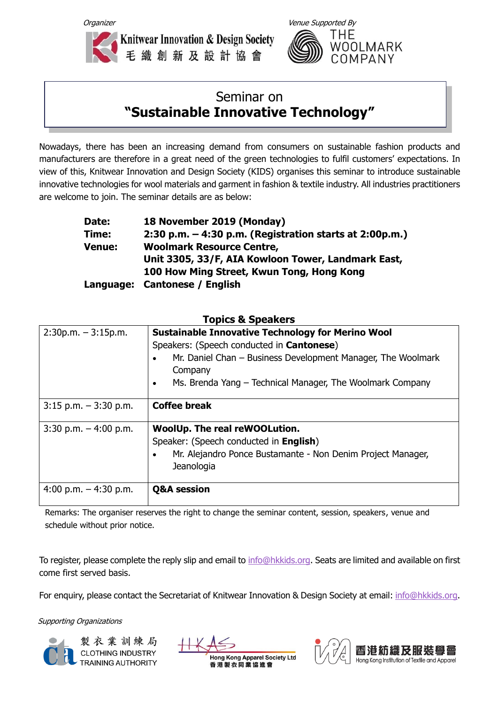



## Seminar on **"Sustainable Innovative Technology"**

Nowadays, there has been an increasing demand from consumers on sustainable fashion products and manufacturers are therefore in a great need of the green technologies to fulfil customers' expectations. In view of this, Knitwear Innovation and Design Society (KIDS) organises this seminar to introduce sustainable innovative technologies for wool materials and garment in fashion & textile industry. All industries practitioners are welcome to join. The seminar details are as below:

| Date:         | 18 November 2019 (Monday)                                 |
|---------------|-----------------------------------------------------------|
| Time:         | 2:30 p.m. $-$ 4:30 p.m. (Registration starts at 2:00p.m.) |
| <b>Venue:</b> | <b>Woolmark Resource Centre,</b>                          |
|               | Unit 3305, 33/F, AIA Kowloon Tower, Landmark East,        |
|               | 100 How Ming Street, Kwun Tong, Hong Kong                 |
|               | Language: Cantonese / English                             |

| $2:30p.m. - 3:15p.m.$    | <b>Sustainable Innovative Technology for Merino Wool</b><br>Speakers: (Speech conducted in <b>Cantonese</b> )<br>Mr. Daniel Chan - Business Development Manager, The Woolmark<br>$\bullet$<br>Company<br>Ms. Brenda Yang - Technical Manager, The Woolmark Company<br>$\bullet$ |  |
|--------------------------|---------------------------------------------------------------------------------------------------------------------------------------------------------------------------------------------------------------------------------------------------------------------------------|--|
| $3:15$ p.m. $-3:30$ p.m. | <b>Coffee break</b>                                                                                                                                                                                                                                                             |  |
| $3:30$ p.m. $-4:00$ p.m. | <b>WoolUp. The real reWOOLution.</b><br>Speaker: (Speech conducted in English)<br>Mr. Alejandro Ponce Bustamante - Non Denim Project Manager,<br>Jeanologia                                                                                                                     |  |
| 4:00 p.m. $-$ 4:30 p.m.  | <b>Q&amp;A</b> session                                                                                                                                                                                                                                                          |  |

## **Topics & Speakers**

Remarks: The organiser reserves the right to change the seminar content, session, speakers, venue and schedule without prior notice.

To register, please complete the reply slip and email to [info@hkkids.org.](mailto:info@hkkids.org) Seats are limited and available on first come first served basis.

For enquiry, please contact the Secretariat of Knitwear Innovation & Design Society at email: [info@hkkids.org.](mailto:info@hkkids.org)

Supporting Organizations



製衣業訓練局 **CLOTHING INDUSTRY** 



**Hong Kong Apparel Society Ltd** 香港製衣同業協進會